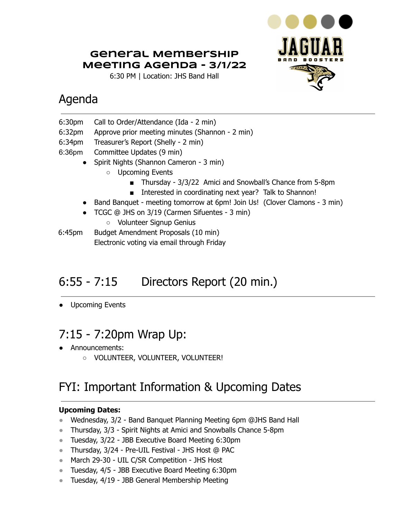### **General Membership Meeting Agenda - 3/1/22**

6:30 PM | Location: JHS Band Hall



## Agenda

- 6:30pm Call to Order/Attendance (Ida 2 min)
- 6:32pm Approve prior meeting minutes (Shannon 2 min)
- 6:34pm Treasurer's Report (Shelly 2 min)
- 6:36pm Committee Updates (9 min)
	- Spirit Nights (Shannon Cameron 3 min)
		- Upcoming Events
			- Thursday 3/3/22 Amici and Snowball's Chance from 5-8pm
			- Interested in coordinating next year? Talk to Shannon!
	- Band Banquet meeting tomorrow at 6pm! Join Us! (Clover Clamons 3 min)
	- TCGC @ JHS on 3/19 (Carmen Sifuentes 3 min)
		- Volunteer Signup Genius

6:45pm Budget Amendment Proposals (10 min) Electronic voting via email through Friday

# 6:55 - 7:15 Directors Report (20 min.)

● Upcoming Events

# 7:15 - 7:20pm Wrap Up:

- Announcements:
	- VOLUNTEER, VOLUNTEER, VOLUNTEER!

# FYI: Important Information & Upcoming Dates

#### **Upcoming Dates:**

- Wednesday, 3/2 Band Banquet Planning Meeting 6pm @JHS Band Hall
- Thursday, 3/3 Spirit Nights at Amici and Snowballs Chance 5-8pm
- Tuesday, 3/22 JBB Executive Board Meeting 6:30pm
- Thursday, 3/24 Pre-UIL Festival JHS Host @ PAC
- March 29-30 UIL C/SR Competition JHS Host
- Tuesday, 4/5 JBB Executive Board Meeting 6:30pm
- Tuesday, 4/19 JBB General Membership Meeting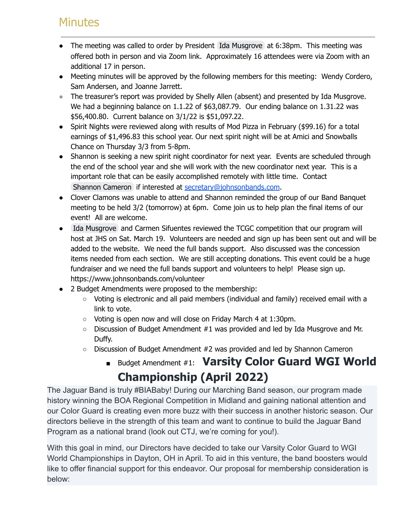### **Minutes**

- The meeting was called to order by President Ida [Musgrove](mailto:president@johnsonbands.com) at 6:38pm. This meeting was offered both in person and via Zoom link. Approximately 16 attendees were via Zoom with an additional 17 in person.
- Meeting minutes will be approved by the following members for this meeting: Wendy Cordero, Sam Andersen, and Joanne Jarrett.
- The treasurer's report was provided by Shelly Allen (absent) and presented by Ida Musgrove. We had a beginning balance on 1.1.22 of \$63,087.79. Our ending balance on 1.31.22 was \$56,400.80. Current balance on 3/1/22 is \$51,097.22.
- Spirit Nights were reviewed along with results of Mod Pizza in February (\$99.16) for a total earnings of \$1,496.83 this school year. Our next spirit night will be at Amici and Snowballs Chance on Thursday 3/3 from 5-8pm.
- Shannon is seeking a new spirit night coordinator for next year. Events are scheduled through the end of the school year and she will work with the new coordinator next year. This is a important role that can be easily accomplished remotely with little time. Contact Shannon [Cameron](mailto:secretary@johnsonbands.com) if interested at [secretary@johnsonbands.com](mailto:secretary@johnsonbands.com).
- Clover Clamons was unable to attend and Shannon reminded the group of our Band Banquet meeting to be held 3/2 (tomorrow) at 6pm. Come join us to help plan the final items of our event! All are welcome.
- Ida [Musgrove](mailto:president@johnsonbands.com) and Carmen Sifuentes reviewed the TCGC competition that our program will host at JHS on Sat. March 19. Volunteers are needed and sign up has been sent out and will be added to the website. We need the full bands support. Also discussed was the concession items needed from each section. We are still accepting donations. This event could be a huge fundraiser and we need the full bands support and volunteers to help! Please sign up. https://www.johnsonbands.com/volunteer
- 2 Budget Amendments were proposed to the membership:
	- Voting is electronic and all paid members (individual and family) received email with a link to vote.
	- Voting is open now and will close on Friday March 4 at 1:30pm.
	- Discussion of Budget Amendment #1 was provided and led by Ida Musgrove and Mr. Duffy.
	- Discussion of Budget Amendment #2 was provided and led by Shannon Cameron

## ■ Budget Amendment #1: **Varsity Color Guard WGI World Championship (April 2022)**

The Jaguar Band is truly #BIABaby! During our Marching Band season, our program made history winning the BOA Regional Competition in Midland and gaining national attention and our Color Guard is creating even more buzz with their success in another historic season. Our directors believe in the strength of this team and want to continue to build the Jaguar Band Program as a national brand (look out CTJ, we're coming for you!).

With this goal in mind, our Directors have decided to take our Varsity Color Guard to WGI World Championships in Dayton, OH in April. To aid in this venture, the band boosters would like to offer financial support for this endeavor. Our proposal for membership consideration is below: